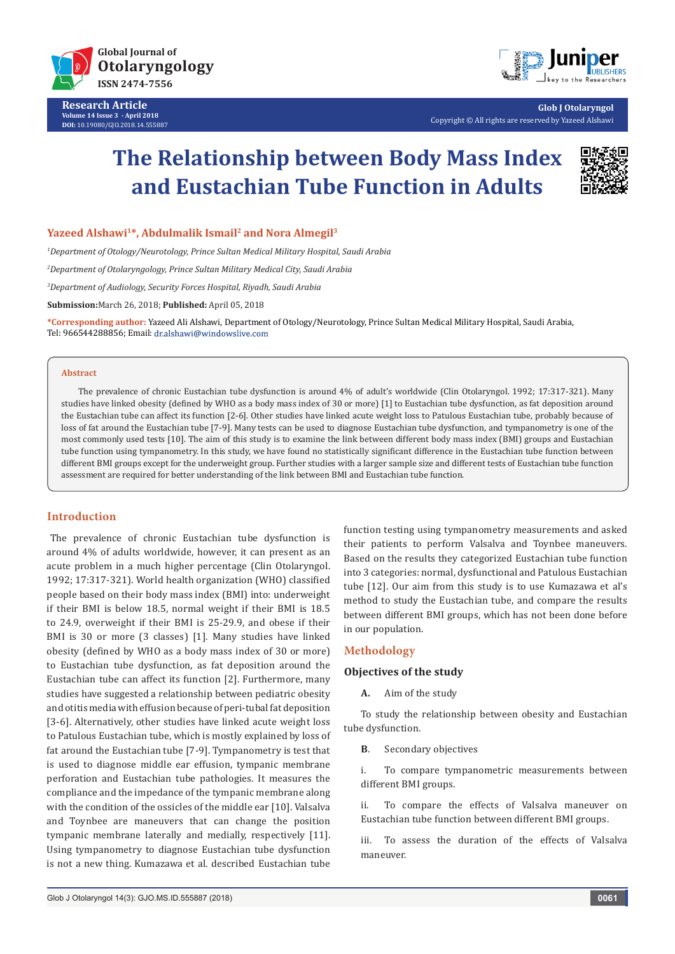

**Research Article Volume 14 Issue 3 - April 2018 DOI:** [10.19080/GJO.2018.14.555887](http://dx.doi.org/10.19080/GJO.2018.14.555887)



**Glob J Otolaryngol** Copyright © All rights are reserved by Yazeed Alshawi

# **The Relationship between Body Mass Index and Eustachian Tube Function in Adults**



**Yazeed Alshawi1\*, Abdulmalik Ismail2 and Nora Almegil3**

*1 Department of Otology/Neurotology, Prince Sultan Medical Military Hospital, Saudi Arabia*

*2 Department of Otolaryngology, Prince Sultan Military Medical City, Saudi Arabia*

*3 Department of Audiology, Security Forces Hospital, Riyadh, Saudi Arabia*

**Submission:**March 26, 2018; **Published:** April 05, 2018

**\*Corresponding author:** Yazeed Ali Alshawi, Department of Otology/Neurotology, Prince Sultan Medical Military Hospital, Saudi Arabia, Tel: 966544288856; Email: dr.alshawi@windowslive.com

#### **Abstract**

The prevalence of chronic Eustachian tube dysfunction is around 4% of adult's worldwide (Clin Otolaryngol. 1992; 17:317-321). Many studies have linked obesity (defined by WHO as a body mass index of 30 or more) [1] to Eustachian tube dysfunction, as fat deposition around the Eustachian tube can affect its function [2-6]. Other studies have linked acute weight loss to Patulous Eustachian tube, probably because of loss of fat around the Eustachian tube [7-9]. Many tests can be used to diagnose Eustachian tube dysfunction, and tympanometry is one of the most commonly used tests [10]. The aim of this study is to examine the link between different body mass index (BMI) groups and Eustachian tube function using tympanometry. In this study, we have found no statistically significant difference in the Eustachian tube function between different BMI groups except for the underweight group. Further studies with a larger sample size and different tests of Eustachian tube function assessment are required for better understanding of the link between BMI and Eustachian tube function.

## **Introduction**

The prevalence of chronic Eustachian tube dysfunction is around 4% of adults worldwide, however, it can present as an acute problem in a much higher percentage (Clin Otolaryngol. 1992; 17:317-321). World health organization (WHO) classified people based on their body mass index (BMI) into: underweight if their BMI is below 18.5, normal weight if their BMI is 18.5 to 24.9, overweight if their BMI is 25-29.9, and obese if their BMI is 30 or more (3 classes) [1]. Many studies have linked obesity (defined by WHO as a body mass index of 30 or more) to Eustachian tube dysfunction, as fat deposition around the Eustachian tube can affect its function [2]. Furthermore, many studies have suggested a relationship between pediatric obesity and otitis media with effusion because of peri-tubal fat deposition [3-6]. Alternatively, other studies have linked acute weight loss to Patulous Eustachian tube, which is mostly explained by loss of fat around the Eustachian tube [7-9]. Tympanometry is test that is used to diagnose middle ear effusion, tympanic membrane perforation and Eustachian tube pathologies. It measures the compliance and the impedance of the tympanic membrane along with the condition of the ossicles of the middle ear [10]. Valsalva and Toynbee are maneuvers that can change the position tympanic membrane laterally and medially, respectively [11]. Using tympanometry to diagnose Eustachian tube dysfunction is not a new thing. Kumazawa et al. described Eustachian tube

function testing using tympanometry measurements and asked their patients to perform Valsalva and Toynbee maneuvers. Based on the results they categorized Eustachian tube function into 3 categories: normal, dysfunctional and Patulous Eustachian tube [12]. Our aim from this study is to use Kumazawa et al's method to study the Eustachian tube, and compare the results between different BMI groups, which has not been done before in our population.

## **Methodology**

## **Objectives of the study**

**A.** Aim of the study

To study the relationship between obesity and Eustachian tube dysfunction.

**B**. Secondary objectives

i. To compare tympanometric measurements between different BMI groups.

ii. To compare the effects of Valsalva maneuver on Eustachian tube function between different BMI groups.

iii. To assess the duration of the effects of Valsalva maneuver.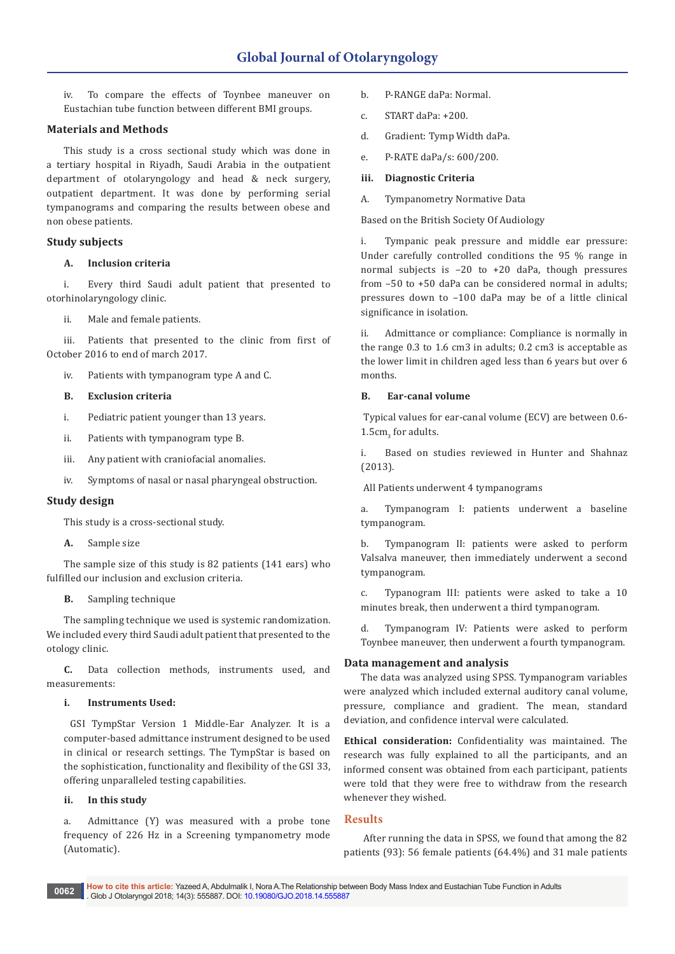iv. To compare the effects of Toynbee maneuver on Eustachian tube function between different BMI groups.

## **Materials and Methods**

This study is a cross sectional study which was done in a tertiary hospital in Riyadh, Saudi Arabia in the outpatient department of otolaryngology and head & neck surgery, outpatient department. It was done by performing serial tympanograms and comparing the results between obese and non obese patients.

# **Study subjects**

## **A. Inclusion criteria**

i. Every third Saudi adult patient that presented to otorhinolaryngology clinic.

ii. Male and female patients.

iii. Patients that presented to the clinic from first of October 2016 to end of march 2017.

iv. Patients with tympanogram type A and C.

## **B. Exclusion criteria**

- i. Pediatric patient younger than 13 years.
- ii. Patients with tympanogram type B.
- iii. Any patient with craniofacial anomalies.
- iv. Symptoms of nasal or nasal pharyngeal obstruction.

## **Study design**

This study is a cross-sectional study.

**A.** Sample size

The sample size of this study is 82 patients (141 ears) who fulfilled our inclusion and exclusion criteria.

**B.** Sampling technique

The sampling technique we used is systemic randomization. We included every third Saudi adult patient that presented to the otology clinic.

**C.** Data collection methods, instruments used, and measurements:

## **i. Instruments Used:**

 GSI TympStar Version 1 Middle-Ear Analyzer. It is a computer-based admittance instrument designed to be used in clinical or research settings. The TympStar is based on the sophistication, functionality and flexibility of the GSI 33, offering unparalleled testing capabilities.

# **ii. In this study**

a. Admittance (Y) was measured with a probe tone frequency of 226 Hz in a Screening tympanometry mode (Automatic).

- b. P-RANGE daPa: Normal.
- c. START daPa: +200.
- d. Gradient: Tymp Width daPa.
- e. P-RATE daPa/s: 600/200.

# **iii. Diagnostic Criteria**

A. Tympanometry Normative Data

Based on the British Society Of Audiology

i. Tympanic peak pressure and middle ear pressure: Under carefully controlled conditions the 95 % range in normal subjects is –20 to +20 daPa, though pressures from –50 to +50 daPa can be considered normal in adults; pressures down to –100 daPa may be of a little clinical significance in isolation.

ii. Admittance or compliance: Compliance is normally in the range 0.3 to 1.6 cm3 in adults; 0.2 cm3 is acceptable as the lower limit in children aged less than 6 years but over 6 months.

# **B. Ear-canal volume**

 Typical values for ear-canal volume (ECV) are between 0.6-  $1.5cm<sub>3</sub>$  for adults.

i. Based on studies reviewed in Hunter and Shahnaz (2013).

All Patients underwent 4 tympanograms

a. Tympanogram I: patients underwent a baseline tympanogram.

b. Tympanogram II: patients were asked to perform Valsalva maneuver, then immediately underwent a second tympanogram.

c. Typanogram III: patients were asked to take a 10 minutes break, then underwent a third tympanogram.

d. Tympanogram IV: Patients were asked to perform Toynbee maneuver, then underwent a fourth tympanogram.

# **Data management and analysis**

The data was analyzed using SPSS. Tympanogram variables were analyzed which included external auditory canal volume, pressure, compliance and gradient. The mean, standard deviation, and confidence interval were calculated.

**Ethical consideration:** Confidentiality was maintained. The research was fully explained to all the participants, and an informed consent was obtained from each participant, patients were told that they were free to withdraw from the research whenever they wished.

# **Results**

 After running the data in SPSS, we found that among the 82 patients (93): 56 female patients (64.4%) and 31 male patients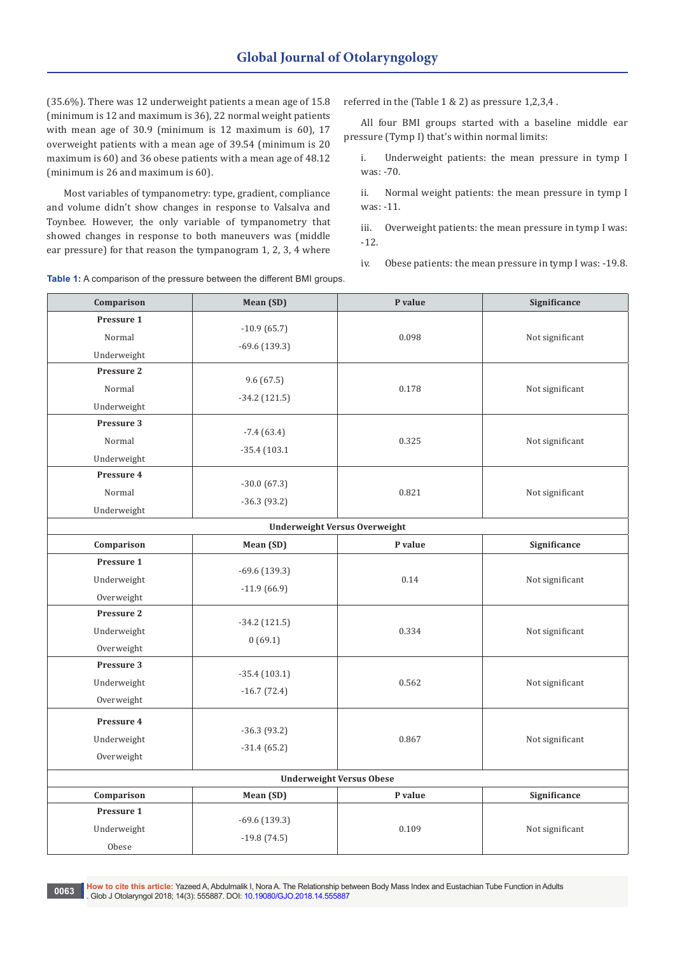(35.6%). There was 12 underweight patients a mean age of 15.8 (minimum is 12 and maximum is 36), 22 normal weight patients with mean age of 30.9 (minimum is 12 maximum is 60), 17 overweight patients with a mean age of 39.54 (minimum is 20 maximum is 60) and 36 obese patients with a mean age of 48.12 (minimum is 26 and maximum is 60).

Most variables of tympanometry: type, gradient, compliance and volume didn't show changes in response to Valsalva and Toynbee. However, the only variable of tympanometry that showed changes in response to both maneuvers was (middle ear pressure) for that reason the tympanogram 1, 2, 3, 4 where referred in the (Table 1 & 2) as pressure 1,2,3,4 .

All four BMI groups started with a baseline middle ear pressure (Tymp I) that's within normal limits:

i. Underweight patients: the mean pressure in tymp I was: -70.

ii. Normal weight patients: the mean pressure in tymp I was: -11.

iii. Overweight patients: the mean pressure in tymp I was: -12.

iv. Obese patients: the mean pressure in tymp I was: -19.8.

| Comparison                           | Mean (SD)                      | P value | Significance    |  |
|--------------------------------------|--------------------------------|---------|-----------------|--|
| Pressure 1                           |                                |         |                 |  |
| Normal                               | $-10.9(65.7)$                  | 0.098   | Not significant |  |
| Underweight                          | $-69.6(139.3)$                 |         |                 |  |
| Pressure 2                           | 9.6(67.5)                      |         |                 |  |
| Normal                               |                                | 0.178   | Not significant |  |
| Underweight                          | $-34.2$ (121.5)                |         |                 |  |
| Pressure 3                           |                                |         |                 |  |
| Normal                               | $-7.4(63.4)$<br>$-35.4(103.1)$ | 0.325   | Not significant |  |
| Underweight                          |                                |         |                 |  |
| Pressure 4                           | $-30.0(67.3)$                  |         |                 |  |
| Normal                               | $-36.3(93.2)$                  | 0.821   | Not significant |  |
| Underweight                          |                                |         |                 |  |
| <b>Underweight Versus Overweight</b> |                                |         |                 |  |
| Comparison                           | Mean (SD)                      | P value | Significance    |  |
| Pressure 1                           |                                |         |                 |  |
| Underweight                          | $-69.6(139.3)$                 | 0.14    | Not significant |  |
| Overweight                           | $-11.9(66.9)$                  |         |                 |  |
| Pressure 2                           | $-34.2$ (121.5)                |         |                 |  |
| Underweight                          | 0(69.1)                        | 0.334   | Not significant |  |
| Overweight                           |                                |         |                 |  |
| Pressure 3                           | $-35.4(103.1)$                 |         |                 |  |
| Underweight                          | $-16.7(72.4)$                  | 0.562   | Not significant |  |
| Overweight                           |                                |         |                 |  |
| Pressure 4                           |                                |         |                 |  |
| Underweight                          | $-36.3(93.2)$                  | 0.867   | Not significant |  |
| Overweight                           | $-31.4(65.2)$                  |         |                 |  |
| <b>Underweight Versus Obese</b>      |                                |         |                 |  |
| Comparison                           | Mean (SD)                      | P value | Significance    |  |
| Pressure 1                           |                                |         |                 |  |
| Underweight                          | $-69.6(139.3)$                 | 0.109   | Not significant |  |
| Obese                                | $-19.8(74.5)$                  |         |                 |  |

**Table 1:** A comparison of the pressure between the different BMI groups.

**How to cite this article:** Yazeed A, Abdulmalik I, Nora A. The Relationship between Body Mass Index and Eustachian Tube Function in Adults **. Gubber of the Sack And Additionally Inc. 20063**<br>1906 Glob J Otolaryngol 2018; 14(3): 555887. DOI: [10.19080/GJO.2018.14.555887](http://dx.doi.org/10.19080/GJO.2018.14.555887) **0063**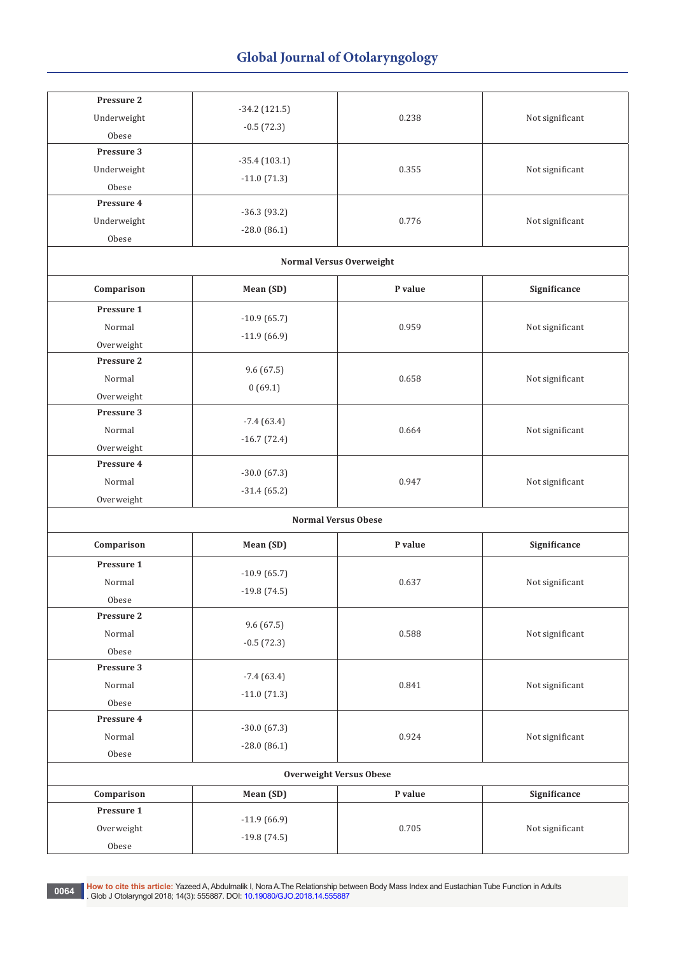| Pressure 2<br>Underweight<br>Obese    | $-34.2$ (121.5)<br>$-0.5(72.3)$      | 0.238   | Not significant |  |  |  |
|---------------------------------------|--------------------------------------|---------|-----------------|--|--|--|
| Pressure 3<br>Underweight<br>Obese    | $-35.4(103.1)$<br>$-11.0(71.3)$      | 0.355   | Not significant |  |  |  |
| Pressure 4<br>Underweight<br>Obese    | $-36.3(93.2)$<br>$-28.0(86.1)$       | 0.776   | Not significant |  |  |  |
| <b>Normal Versus Overweight</b>       |                                      |         |                 |  |  |  |
| Comparison                            | Mean (SD)                            | P value | Significance    |  |  |  |
| Pressure 1<br>Normal<br>Overweight    | $-10.9(65.7)$<br>$-11.9(66.9)$       | 0.959   | Not significant |  |  |  |
| Pressure 2<br>Normal<br>Overweight    | 9.6(67.5)<br>0(69.1)                 | 0.658   | Not significant |  |  |  |
| Pressure 3<br>Normal<br>Overweight    | $-7.4(63.4)$<br>$-16.7(72.4)$        | 0.664   | Not significant |  |  |  |
| Pressure 4<br>Normal<br>Overweight    | $-30.0(67.3)$<br>$-31.4(65.2)$       | 0.947   | Not significant |  |  |  |
|                                       | <b>Normal Versus Obese</b>           |         |                 |  |  |  |
| Comparison                            | Significance<br>Mean (SD)<br>P value |         |                 |  |  |  |
| Pressure 1<br>Normal<br>Obese         | $-10.9(65.7)$<br>$-19.8(74.5)$       | 0.637   | Not significant |  |  |  |
| Pressure 2<br>Normal<br>${\rm Obese}$ | 9.6(67.5)<br>$-0.5(72.3)$            | 0.588   | Not significant |  |  |  |
| Pressure 3<br>Normal<br>Obese         | $-7.4(63.4)$<br>$-11.0(71.3)$        | 0.841   | Not significant |  |  |  |
| Pressure 4<br>Normal<br>Obese         | $-30.0(67.3)$<br>$-28.0(86.1)$       | 0.924   | Not significant |  |  |  |
| <b>Overweight Versus Obese</b>        |                                      |         |                 |  |  |  |
| Comparison                            | Mean (SD)                            | P value | Significance    |  |  |  |
| Pressure 1<br>Overweight<br>Obese     | $-11.9(66.9)$<br>$-19.8(74.5)$       | 0.705   | Not significant |  |  |  |

0064 **How to cite this article:** Yazeed A, Abdulmalik I, Nora A.The Relationship between Body Mass Index and Eustachian Tube Function in Adults<br>Clob J Otels Intel 2018: 14/3): 555887, DOL:10,10080/CJO 2018.14,555887 . Glob J Otolaryngol 2018; 14(3): 555887. DOI: [10.19080/GJO.2018.14.555887](http://dx.doi.org/10.19080/GJO.2018.14.555887)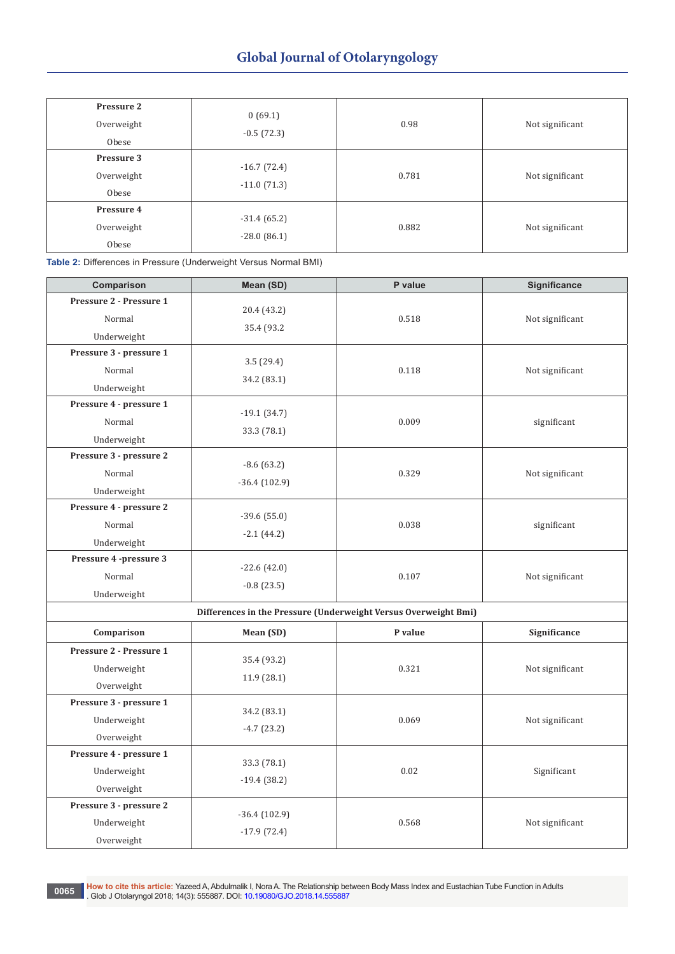| Pressure 2<br>Overweight<br>Obese | 0(69.1)<br>$-0.5(72.3)$        | 0.98  | Not significant |
|-----------------------------------|--------------------------------|-------|-----------------|
| Pressure 3<br>Overweight<br>Obese | $-16.7(72.4)$<br>$-11.0(71.3)$ | 0.781 | Not significant |
| Pressure 4<br>Overweight<br>Obese | $-31.4(65.2)$<br>$-28.0(86.1)$ | 0.882 | Not significant |

**Table 2:** Differences in Pressure (Underweight Versus Normal BMI)

| Comparison                                           | Mean (SD)                                                       | P value | Significance    |  |
|------------------------------------------------------|-----------------------------------------------------------------|---------|-----------------|--|
| Pressure 2 - Pressure 1<br>Normal<br>Underweight     | 20.4 (43.2)<br>35.4 (93.2)                                      | 0.518   | Not significant |  |
| Pressure 3 - pressure 1<br>Normal<br>Underweight     | 3.5(29.4)<br>34.2 (83.1)                                        | 0.118   | Not significant |  |
| Pressure 4 - pressure 1<br>Normal<br>Underweight     | $-19.1(34.7)$<br>33.3 (78.1)                                    | 0.009   | significant     |  |
| Pressure 3 - pressure 2<br>Normal<br>Underweight     | $-8.6(63.2)$<br>$-36.4(102.9)$                                  | 0.329   | Not significant |  |
| Pressure 4 - pressure 2<br>Normal<br>Underweight     | $-39.6(55.0)$<br>$-2.1(44.2)$                                   | 0.038   | significant     |  |
| Pressure 4 -pressure 3<br>Normal<br>Underweight      | $-22.6(42.0)$<br>$-0.8(23.5)$                                   | 0.107   | Not significant |  |
|                                                      | Differences in the Pressure (Underweight Versus Overweight Bmi) |         |                 |  |
| Comparison                                           | Mean (SD)                                                       | P value | Significance    |  |
| Pressure 2 - Pressure 1<br>Underweight<br>Overweight | 35.4 (93.2)<br>11.9 (28.1)                                      | 0.321   | Not significant |  |
| Pressure 3 - pressure 1<br>Underweight<br>Overweight | 34.2 (83.1)<br>$-4.7(23.2)$                                     | 0.069   | Not significant |  |
| Pressure 4 - pressure 1<br>Underweight<br>Overweight | 33.3 (78.1)<br>$-19.4(38.2)$                                    | 0.02    | Significant     |  |
| Pressure 3 - pressure 2<br>Underweight<br>Overweight | $-36.4(102.9)$<br>$-17.9(72.4)$                                 | 0.568   | Not significant |  |

0065 How to cite this article: Yazeed A, Abdulmalik I, Nora A. The Relationship between Body Mass Index and Eustachian Tube Function in Adults<br>[6] Glob J Otolaryngol 2018; 14(3): 555887. DOI: [10.19080/GJO.2018.14.555887](http://dx.doi.org/10.19080/GJO.2018.14.555887)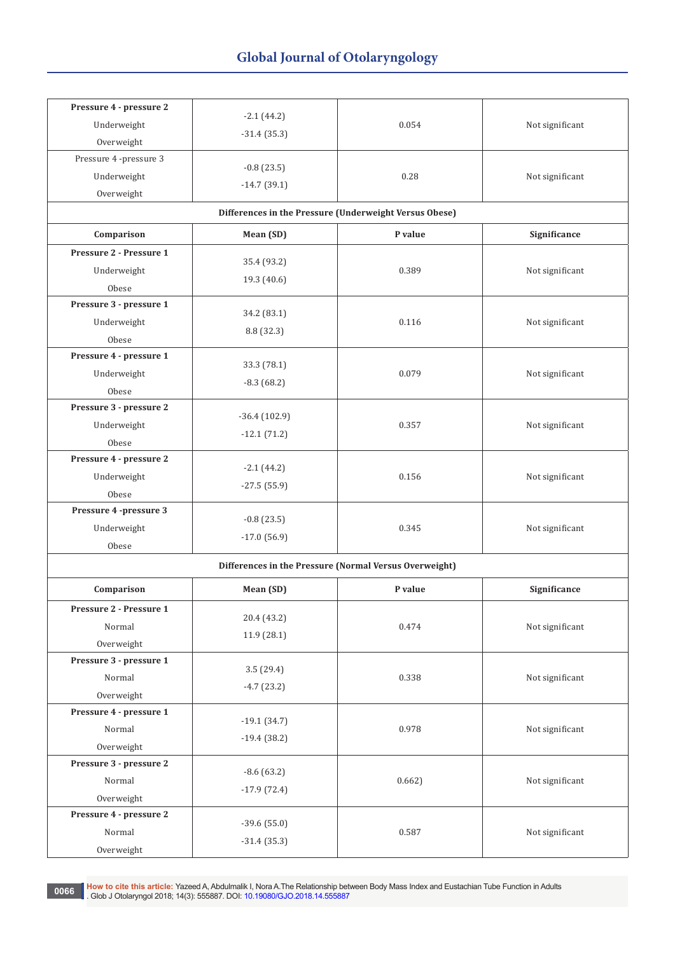| Pressure 4 - pressure 2 | $-2.1(44.2)$   |                                                        |                 |
|-------------------------|----------------|--------------------------------------------------------|-----------------|
| Underweight             | $-31.4(35.3)$  | 0.054                                                  | Not significant |
| Overweight              |                |                                                        |                 |
| Pressure 4 -pressure 3  | $-0.8(23.5)$   |                                                        |                 |
| Underweight             | $-14.7(39.1)$  | 0.28                                                   | Not significant |
| Overweight              |                |                                                        |                 |
|                         |                | Differences in the Pressure (Underweight Versus Obese) |                 |
| Comparison              | Mean (SD)      | P value                                                | Significance    |
| Pressure 2 - Pressure 1 | 35.4 (93.2)    |                                                        |                 |
| Underweight             |                | 0.389                                                  | Not significant |
| Obese                   | 19.3 (40.6)    |                                                        |                 |
| Pressure 3 - pressure 1 | 34.2 (83.1)    |                                                        |                 |
| Underweight             |                | 0.116                                                  | Not significant |
| Obese                   | 8.8 (32.3)     |                                                        |                 |
| Pressure 4 - pressure 1 | 33.3 (78.1)    |                                                        |                 |
| Underweight             | $-8.3(68.2)$   | 0.079                                                  | Not significant |
| Obese                   |                |                                                        |                 |
| Pressure 3 - pressure 2 | $-36.4(102.9)$ |                                                        |                 |
| Underweight             | $-12.1(71.2)$  | 0.357                                                  | Not significant |
| Obese                   |                |                                                        |                 |
| Pressure 4 - pressure 2 | $-2.1(44.2)$   |                                                        |                 |
| Underweight             | $-27.5(55.9)$  | 0.156                                                  | Not significant |
| Obese                   |                |                                                        |                 |
| Pressure 4 -pressure 3  | $-0.8(23.5)$   |                                                        |                 |
| Underweight             | $-17.0(56.9)$  | 0.345                                                  | Not significant |
| Obese                   |                |                                                        |                 |
|                         |                | Differences in the Pressure (Normal Versus Overweight) |                 |
| Comparison              | Mean (SD)      | P value                                                | Significance    |
| Pressure 2 - Pressure 1 |                |                                                        |                 |
| Normal                  | 20.4 (43.2)    | 0.474                                                  | Not significant |
| Overweight              | 11.9(28.1)     |                                                        |                 |
| Pressure 3 - pressure 1 |                |                                                        |                 |
| Normal                  | 3.5(29.4)      | 0.338                                                  | Not significant |
| Overweight              | $-4.7(23.2)$   |                                                        |                 |
| Pressure 4 - pressure 1 |                |                                                        |                 |
| Normal                  | $-19.1(34.7)$  | 0.978                                                  | Not significant |
| Overweight              | $-19.4(38.2)$  |                                                        |                 |
| Pressure 3 - pressure 2 |                |                                                        |                 |
| Normal                  | $-8.6(63.2)$   | 0.662                                                  | Not significant |
| Overweight              | $-17.9(72.4)$  |                                                        |                 |
| Pressure 4 - pressure 2 |                |                                                        |                 |
| Normal                  | $-39.6(55.0)$  | 0.587                                                  | Not significant |
| Overweight              | $-31.4(35.3)$  |                                                        |                 |

0066 How to cite this article: Yazeed A, Abdulmalik I, Nora A.The Relationship between Body Mass Index and Eustachian Tube Function in Adults<br>Clob J. Clob J. Otelangool 2018: 14/3): 555887, DOL: 10,10080/CJO 2018 14,555887 . Glob J Otolaryngol 2018; 14(3): 555887. DOI: [10.19080/GJO.2018.14.555887](http://dx.doi.org/10.19080/GJO.2018.14.555887)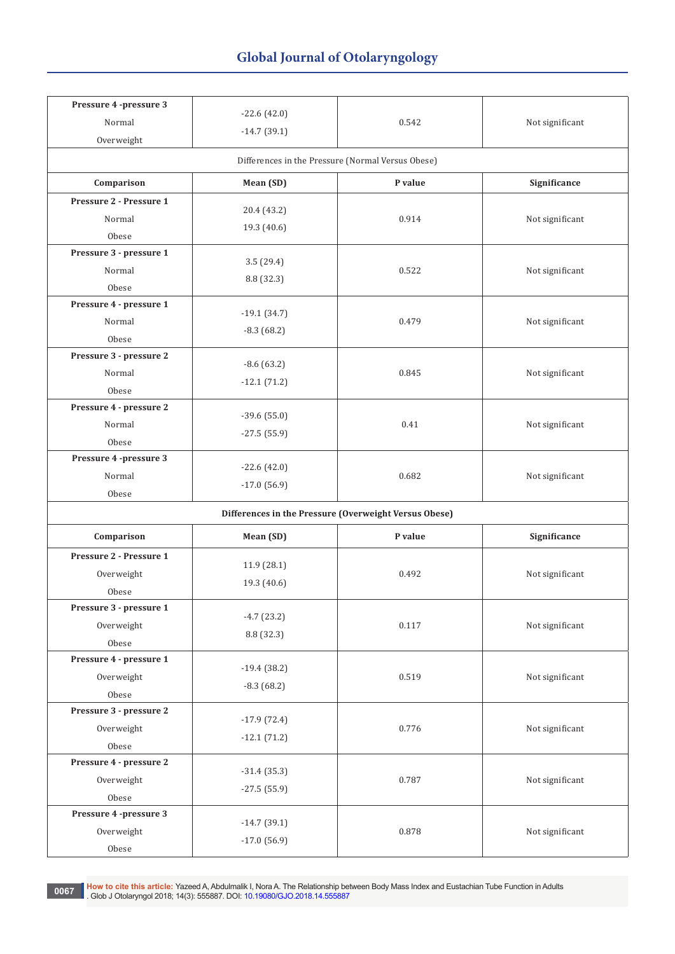| Pressure 4 -pressure 3<br>Normal<br>Overweight | $-22.6(42.0)$<br>$-14.7(39.1)$ | 0.542                                                 | Not significant |
|------------------------------------------------|--------------------------------|-------------------------------------------------------|-----------------|
|                                                |                                | Differences in the Pressure (Normal Versus Obese)     |                 |
| Comparison                                     | Mean (SD)                      | P value                                               | Significance    |
| Pressure 2 - Pressure 1<br>Normal<br>Obese     | 20.4 (43.2)<br>19.3 (40.6)     | 0.914                                                 | Not significant |
| Pressure 3 - pressure 1<br>Normal<br>Obese     | 3.5(29.4)<br>8.8 (32.3)        | 0.522                                                 | Not significant |
| Pressure 4 - pressure 1<br>Normal<br>Obese     | $-19.1(34.7)$<br>$-8.3(68.2)$  | 0.479                                                 | Not significant |
| Pressure 3 - pressure 2<br>Normal<br>Obese     | $-8.6(63.2)$<br>$-12.1(71.2)$  | 0.845                                                 | Not significant |
| Pressure 4 - pressure 2<br>Normal<br>Obese     | $-39.6(55.0)$<br>$-27.5(55.9)$ | 0.41                                                  | Not significant |
| Pressure 4 -pressure 3<br>Normal<br>Obese      | $-22.6(42.0)$<br>$-17.0(56.9)$ | 0.682                                                 | Not significant |
|                                                |                                | Differences in the Pressure (Overweight Versus Obese) |                 |
| Comparison                                     | Mean (SD)                      | P value                                               | Significance    |
| Pressure 2 - Pressure 1<br>Overweight<br>Obese | 11.9 (28.1)<br>19.3 (40.6)     | 0.492                                                 | Not significant |
| Pressure 3 - pressure 1<br>Overweight<br>Obese | $-4.7(23.2)$<br>8.8 (32.3)     | 0.117                                                 | Not significant |
| Pressure 4 - pressure 1<br>Overweight<br>Obese | $-19.4(38.2)$<br>$-8.3(68.2)$  | 0.519                                                 | Not significant |
| Pressure 3 - pressure 2<br>Overweight<br>Obese | $-17.9(72.4)$<br>$-12.1(71.2)$ | 0.776                                                 | Not significant |
| Pressure 4 - pressure 2<br>Overweight<br>Obese | $-31.4(35.3)$<br>$-27.5(55.9)$ | 0.787                                                 | Not significant |
| Pressure 4 -pressure 3<br>Overweight<br>Obese  | $-14.7(39.1)$<br>$-17.0(56.9)$ | 0.878                                                 | Not significant |

0067 How to cite this article: Yazeed A, Abdulmalik I, Nora A. The Relationship between Body Mass Index and Eustachian Tube Function in Adults<br>Glob J Otolaryngol 2018; 14(3): 555887. DOI: [10.19080/GJO.2018.14.555887](http://dx.doi.org/10.19080/GJO.2018.14.555887)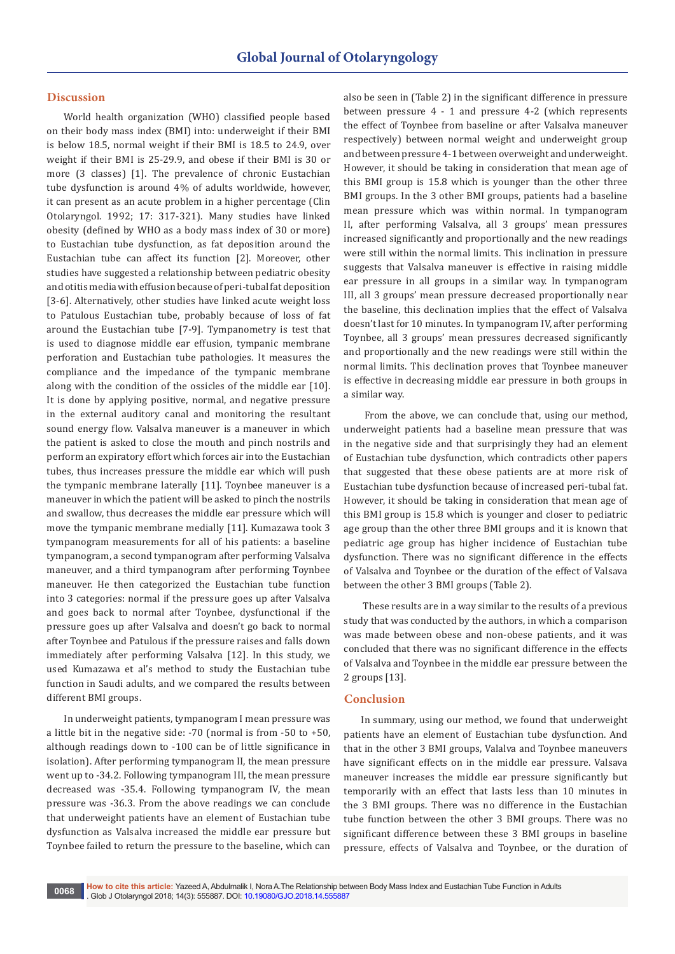## **Discussion**

World health organization (WHO) classified people based on their body mass index (BMI) into: underweight if their BMI is below 18.5, normal weight if their BMI is 18.5 to 24.9, over weight if their BMI is 25-29.9, and obese if their BMI is 30 or more (3 classes) [1]. The prevalence of chronic Eustachian tube dysfunction is around 4% of adults worldwide, however, it can present as an acute problem in a higher percentage (Clin Otolaryngol. 1992; 17: 317-321). Many studies have linked obesity (defined by WHO as a body mass index of 30 or more) to Eustachian tube dysfunction, as fat deposition around the Eustachian tube can affect its function [2]. Moreover, other studies have suggested a relationship between pediatric obesity and otitis media with effusion because of peri-tubal fat deposition [3-6]. Alternatively, other studies have linked acute weight loss to Patulous Eustachian tube, probably because of loss of fat around the Eustachian tube [7-9]. Tympanometry is test that is used to diagnose middle ear effusion, tympanic membrane perforation and Eustachian tube pathologies. It measures the compliance and the impedance of the tympanic membrane along with the condition of the ossicles of the middle ear [10]. It is done by applying positive, normal, and negative pressure in the external auditory canal and monitoring the resultant sound energy flow. Valsalva maneuver is a maneuver in which the patient is asked to close the mouth and pinch nostrils and perform an expiratory effort which forces air into the Eustachian tubes, thus increases pressure the middle ear which will push the tympanic membrane laterally [11]. Toynbee maneuver is a maneuver in which the patient will be asked to pinch the nostrils and swallow, thus decreases the middle ear pressure which will move the tympanic membrane medially [11]. Kumazawa took 3 tympanogram measurements for all of his patients: a baseline tympanogram, a second tympanogram after performing Valsalva maneuver, and a third tympanogram after performing Toynbee maneuver. He then categorized the Eustachian tube function into 3 categories: normal if the pressure goes up after Valsalva and goes back to normal after Toynbee, dysfunctional if the pressure goes up after Valsalva and doesn't go back to normal after Toynbee and Patulous if the pressure raises and falls down immediately after performing Valsalva [12]. In this study, we used Kumazawa et al's method to study the Eustachian tube function in Saudi adults, and we compared the results between different BMI groups.

In underweight patients, tympanogram I mean pressure was a little bit in the negative side: -70 (normal is from -50 to +50, although readings down to -100 can be of little significance in isolation). After performing tympanogram II, the mean pressure went up to -34.2. Following tympanogram III, the mean pressure decreased was -35.4. Following tympanogram IV, the mean pressure was -36.3. From the above readings we can conclude that underweight patients have an element of Eustachian tube dysfunction as Valsalva increased the middle ear pressure but Toynbee failed to return the pressure to the baseline, which can

also be seen in (Table 2) in the significant difference in pressure between pressure 4 - 1 and pressure 4-2 (which represents the effect of Toynbee from baseline or after Valsalva maneuver respectively) between normal weight and underweight group and between pressure 4-1 between overweight and underweight. However, it should be taking in consideration that mean age of this BMI group is 15.8 which is younger than the other three BMI groups. In the 3 other BMI groups, patients had a baseline mean pressure which was within normal. In tympanogram II, after performing Valsalva, all 3 groups' mean pressures increased significantly and proportionally and the new readings were still within the normal limits. This inclination in pressure suggests that Valsalva maneuver is effective in raising middle ear pressure in all groups in a similar way. In tympanogram III, all 3 groups' mean pressure decreased proportionally near the baseline, this declination implies that the effect of Valsalva doesn't last for 10 minutes. In tympanogram IV, after performing Toynbee, all 3 groups' mean pressures decreased significantly and proportionally and the new readings were still within the normal limits. This declination proves that Toynbee maneuver is effective in decreasing middle ear pressure in both groups in a similar way.

 From the above, we can conclude that, using our method, underweight patients had a baseline mean pressure that was in the negative side and that surprisingly they had an element of Eustachian tube dysfunction, which contradicts other papers that suggested that these obese patients are at more risk of Eustachian tube dysfunction because of increased peri-tubal fat. However, it should be taking in consideration that mean age of this BMI group is 15.8 which is younger and closer to pediatric age group than the other three BMI groups and it is known that pediatric age group has higher incidence of Eustachian tube dysfunction. There was no significant difference in the effects of Valsalva and Toynbee or the duration of the effect of Valsava between the other 3 BMI groups (Table 2).

 These results are in a way similar to the results of a previous study that was conducted by the authors, in which a comparison was made between obese and non-obese patients, and it was concluded that there was no significant difference in the effects of Valsalva and Toynbee in the middle ear pressure between the 2 groups [13].

# **Conclusion**

In summary, using our method, we found that underweight patients have an element of Eustachian tube dysfunction. And that in the other 3 BMI groups, Valalva and Toynbee maneuvers have significant effects on in the middle ear pressure. Valsava maneuver increases the middle ear pressure significantly but temporarily with an effect that lasts less than 10 minutes in the 3 BMI groups. There was no difference in the Eustachian tube function between the other 3 BMI groups. There was no significant difference between these 3 BMI groups in baseline pressure, effects of Valsalva and Toynbee, or the duration of